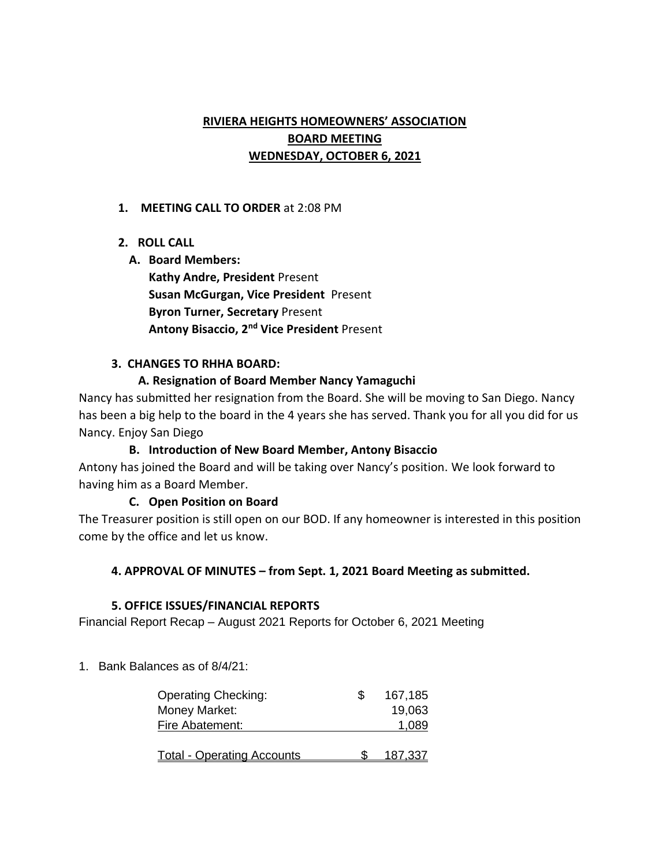# **RIVIERA HEIGHTS HOMEOWNERS' ASSOCIATION BOARD MEETING WEDNESDAY, OCTOBER 6, 2021**

### **1. MEETING CALL TO ORDER** at 2:08 PM

# **2. ROLL CALL**

### **A. Board Members:**

**Kathy Andre, President** Present **Susan McGurgan, Vice President** Present **Byron Turner, Secretary** Present **Antony Bisaccio, 2nd Vice President** Present

### **3. CHANGES TO RHHA BOARD:**

# **A. Resignation of Board Member Nancy Yamaguchi**

Nancy has submitted her resignation from the Board. She will be moving to San Diego. Nancy has been a big help to the board in the 4 years she has served. Thank you for all you did for us Nancy. Enjoy San Diego

# **B. Introduction of New Board Member, Antony Bisaccio**

Antony has joined the Board and will be taking over Nancy's position. We look forward to having him as a Board Member.

# **C. Open Position on Board**

The Treasurer position is still open on our BOD. If any homeowner is interested in this position come by the office and let us know.

# **4. APPROVAL OF MINUTES – from Sept. 1, 2021 Board Meeting as submitted.**

#### **5. OFFICE ISSUES/FINANCIAL REPORTS**

Financial Report Recap – August 2021 Reports for October 6, 2021 Meeting

1. Bank Balances as of 8/4/21:

| <b>Operating Checking:</b>        | 167,185 |
|-----------------------------------|---------|
| Money Market:                     | 19,063  |
| Fire Abatement:                   | 1,089   |
|                                   |         |
| <b>Total - Operating Accounts</b> | 187.337 |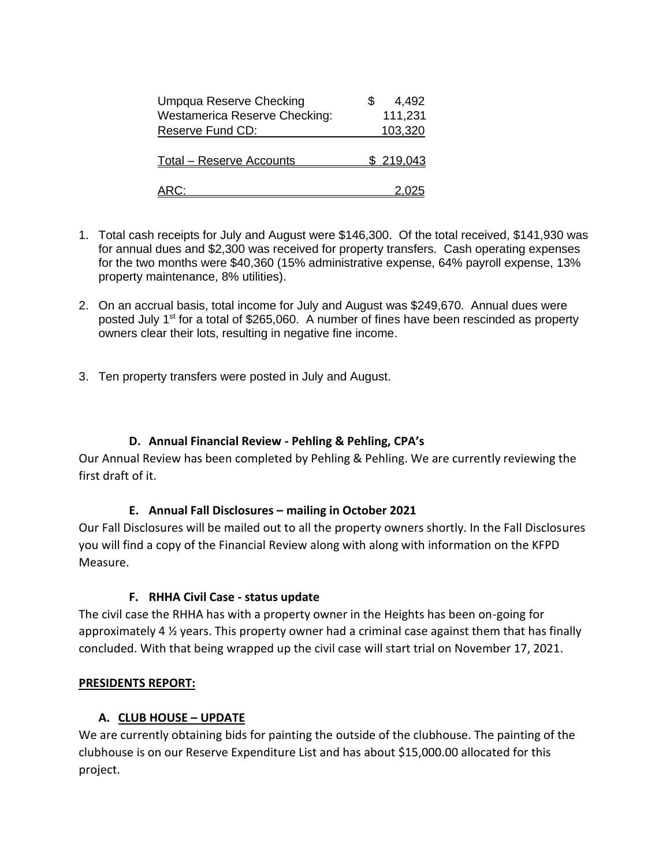| Umpqua Reserve Checking              | 4,492            |
|--------------------------------------|------------------|
| <b>Westamerica Reserve Checking:</b> | 111,231          |
| Reserve Fund CD:                     | 103,320          |
|                                      |                  |
| <b>Total - Reserve Accounts</b>      | <u>\$219,043</u> |
|                                      |                  |
| <u> ARC:</u>                         |                  |

- 1. Total cash receipts for July and August were \$146,300. Of the total received, \$141,930 was for annual dues and \$2,300 was received for property transfers. Cash operating expenses for the two months were \$40,360 (15% administrative expense, 64% payroll expense, 13% property maintenance, 8% utilities).
- 2. On an accrual basis, total income for July and August was \$249,670. Annual dues were posted July  $1<sup>st</sup>$  for a total of \$265,060. A number of fines have been rescinded as property owners clear their lots, resulting in negative fine income.
- 3. Ten property transfers were posted in July and August.

# **D. Annual Financial Review - Pehling & Pehling, CPA's**

Our Annual Review has been completed by Pehling & Pehling. We are currently reviewing the first draft of it.

#### **E. Annual Fall Disclosures – mailing in October 2021**

Our Fall Disclosures will be mailed out to all the property owners shortly. In the Fall Disclosures you will find a copy of the Financial Review along with along with information on the KFPD Measure.

#### **F. RHHA Civil Case - status update**

The civil case the RHHA has with a property owner in the Heights has been on-going for approximately 4 ½ years. This property owner had a criminal case against them that has finally concluded. With that being wrapped up the civil case will start trial on November 17, 2021.

#### **PRESIDENTS REPORT:**

# **A. CLUB HOUSE – UPDATE**

We are currently obtaining bids for painting the outside of the clubhouse. The painting of the clubhouse is on our Reserve Expenditure List and has about \$15,000.00 allocated for this project.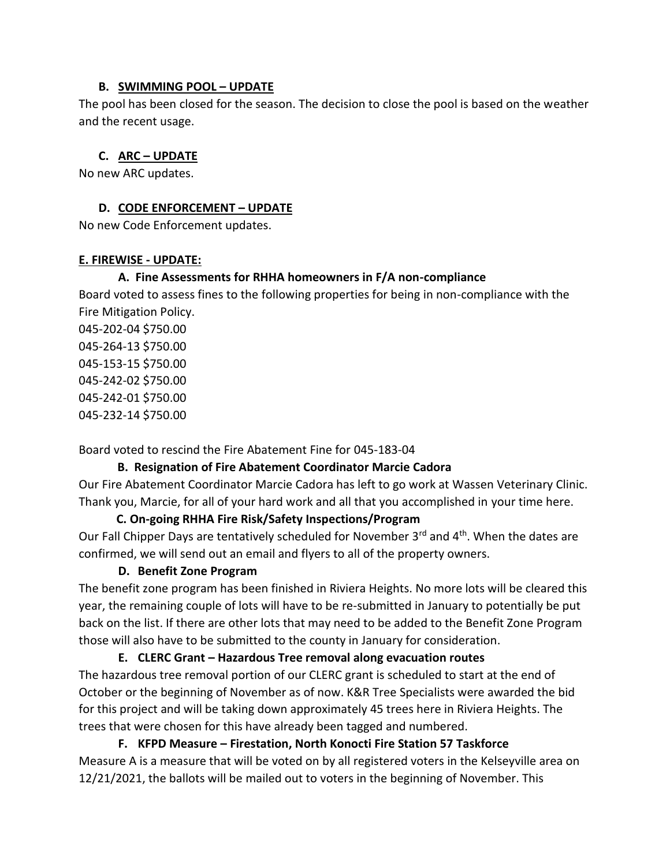#### **B. SWIMMING POOL – UPDATE**

The pool has been closed for the season. The decision to close the pool is based on the weather and the recent usage.

# **C. ARC – UPDATE**

No new ARC updates.

# **D. CODE ENFORCEMENT – UPDATE**

No new Code Enforcement updates.

### **E. FIREWISE - UPDATE:**

# **A. Fine Assessments for RHHA homeowners in F/A non-compliance**

Board voted to assess fines to the following properties for being in non-compliance with the Fire Mitigation Policy.

045-202-04 \$750.00 045-264-13 \$750.00 045-153-15 \$750.00 045-242-02 \$750.00 045-242-01 \$750.00 045-232-14 \$750.00

Board voted to rescind the Fire Abatement Fine for 045-183-04

# **B. Resignation of Fire Abatement Coordinator Marcie Cadora**

Our Fire Abatement Coordinator Marcie Cadora has left to go work at Wassen Veterinary Clinic. Thank you, Marcie, for all of your hard work and all that you accomplished in your time here.

# **C. On-going RHHA Fire Risk/Safety Inspections/Program**

Our Fall Chipper Days are tentatively scheduled for November 3<sup>rd</sup> and 4<sup>th</sup>. When the dates are confirmed, we will send out an email and flyers to all of the property owners.

# **D. Benefit Zone Program**

The benefit zone program has been finished in Riviera Heights. No more lots will be cleared this year, the remaining couple of lots will have to be re-submitted in January to potentially be put back on the list. If there are other lots that may need to be added to the Benefit Zone Program those will also have to be submitted to the county in January for consideration.

**E. CLERC Grant – Hazardous Tree removal along evacuation routes** The hazardous tree removal portion of our CLERC grant is scheduled to start at the end of October or the beginning of November as of now. K&R Tree Specialists were awarded the bid for this project and will be taking down approximately 45 trees here in Riviera Heights. The trees that were chosen for this have already been tagged and numbered.

**F. KFPD Measure – Firestation, North Konocti Fire Station 57 Taskforce**  Measure A is a measure that will be voted on by all registered voters in the Kelseyville area on 12/21/2021, the ballots will be mailed out to voters in the beginning of November. This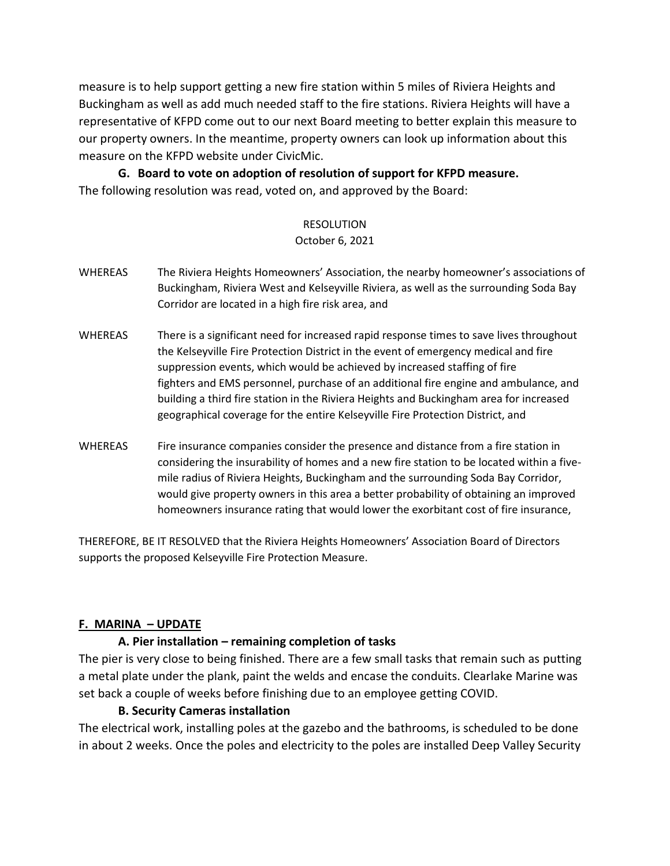measure is to help support getting a new fire station within 5 miles of Riviera Heights and Buckingham as well as add much needed staff to the fire stations. Riviera Heights will have a representative of KFPD come out to our next Board meeting to better explain this measure to our property owners. In the meantime, property owners can look up information about this measure on the KFPD website under CivicMic.

**G. Board to vote on adoption of resolution of support for KFPD measure.** The following resolution was read, voted on, and approved by the Board:

#### RESOLUTION

#### October 6, 2021

- WHEREAS The Riviera Heights Homeowners' Association, the nearby homeowner's associations of Buckingham, Riviera West and Kelseyville Riviera, as well as the surrounding Soda Bay Corridor are located in a high fire risk area, and
- WHEREAS There is a significant need for increased rapid response times to save lives throughout the Kelseyville Fire Protection District in the event of emergency medical and fire suppression events, which would be achieved by increased staffing of fire fighters and EMS personnel, purchase of an additional fire engine and ambulance, and building a third fire station in the Riviera Heights and Buckingham area for increased geographical coverage for the entire Kelseyville Fire Protection District, and
- WHEREAS Fire insurance companies consider the presence and distance from a fire station in considering the insurability of homes and a new fire station to be located within a fivemile radius of Riviera Heights, Buckingham and the surrounding Soda Bay Corridor, would give property owners in this area a better probability of obtaining an improved homeowners insurance rating that would lower the exorbitant cost of fire insurance,

THEREFORE, BE IT RESOLVED that the Riviera Heights Homeowners' Association Board of Directors supports the proposed Kelseyville Fire Protection Measure.

#### **F. MARINA – UPDATE**

#### **A. Pier installation – remaining completion of tasks**

The pier is very close to being finished. There are a few small tasks that remain such as putting a metal plate under the plank, paint the welds and encase the conduits. Clearlake Marine was set back a couple of weeks before finishing due to an employee getting COVID.

#### **B. Security Cameras installation**

The electrical work, installing poles at the gazebo and the bathrooms, is scheduled to be done in about 2 weeks. Once the poles and electricity to the poles are installed Deep Valley Security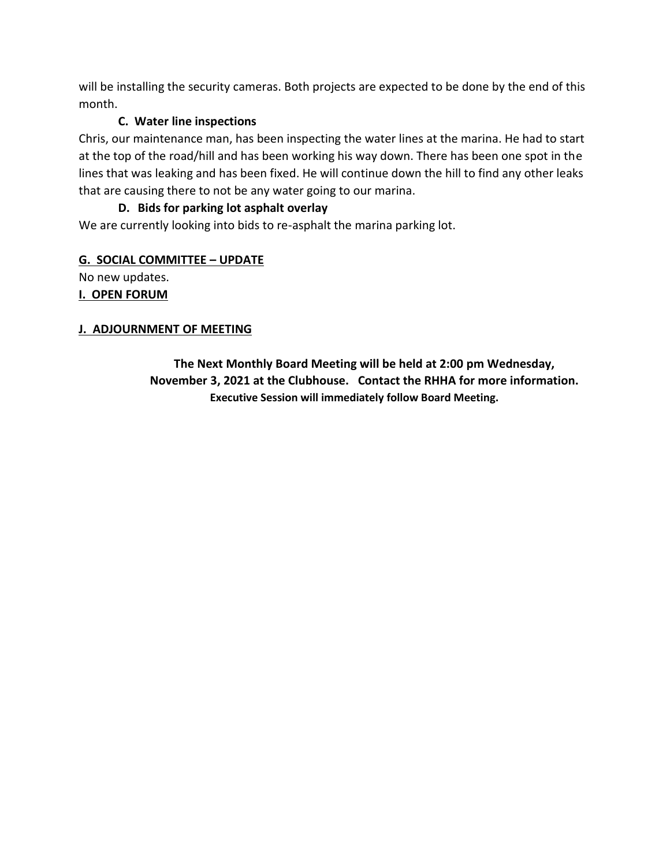will be installing the security cameras. Both projects are expected to be done by the end of this month.

# **C. Water line inspections**

Chris, our maintenance man, has been inspecting the water lines at the marina. He had to start at the top of the road/hill and has been working his way down. There has been one spot in the lines that was leaking and has been fixed. He will continue down the hill to find any other leaks that are causing there to not be any water going to our marina.

# **D. Bids for parking lot asphalt overlay**

We are currently looking into bids to re-asphalt the marina parking lot.

# **G. SOCIAL COMMITTEE – UPDATE**

No new updates.

### **I. OPEN FORUM**

# **J. ADJOURNMENT OF MEETING**

**The Next Monthly Board Meeting will be held at 2:00 pm Wednesday, November 3, 2021 at the Clubhouse. Contact the RHHA for more information. Executive Session will immediately follow Board Meeting.**